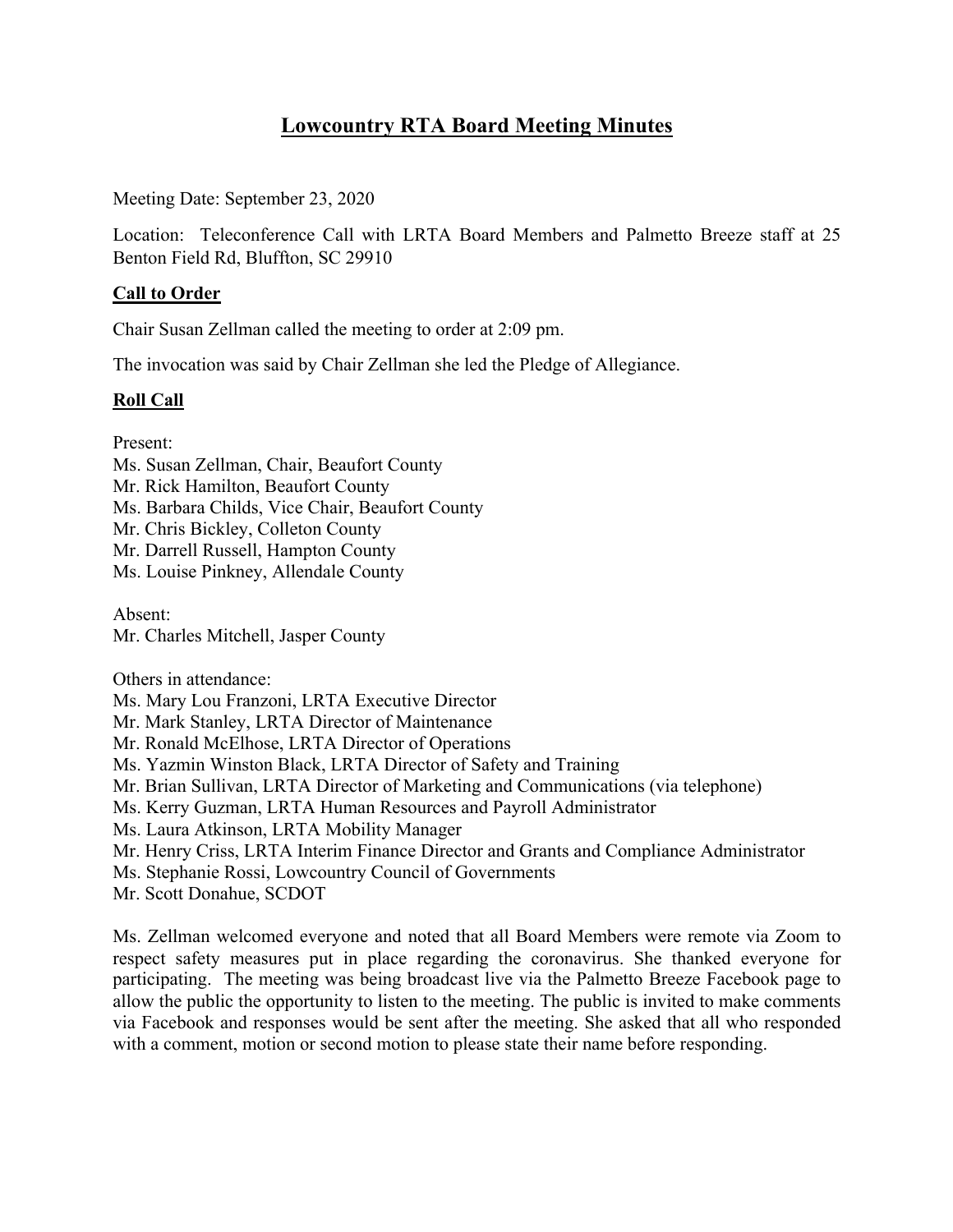# **Lowcountry RTA Board Meeting Minutes**

Meeting Date: September 23, 2020

Location: Teleconference Call with LRTA Board Members and Palmetto Breeze staff at 25 Benton Field Rd, Bluffton, SC 29910

# **Call to Order**

Chair Susan Zellman called the meeting to order at 2:09 pm.

The invocation was said by Chair Zellman she led the Pledge of Allegiance.

## **Roll Call**

Present:

Ms. Susan Zellman, Chair, Beaufort County Mr. Rick Hamilton, Beaufort County Ms. Barbara Childs, Vice Chair, Beaufort County Mr. Chris Bickley, Colleton County Mr. Darrell Russell, Hampton County Ms. Louise Pinkney, Allendale County

Absent: Mr. Charles Mitchell, Jasper County

Others in attendance:

Ms. Mary Lou Franzoni, LRTA Executive Director

Mr. Mark Stanley, LRTA Director of Maintenance

Mr. Ronald McElhose, LRTA Director of Operations

Ms. Yazmin Winston Black, LRTA Director of Safety and Training

Mr. Brian Sullivan, LRTA Director of Marketing and Communications (via telephone)

Ms. Kerry Guzman, LRTA Human Resources and Payroll Administrator

Ms. Laura Atkinson, LRTA Mobility Manager

Mr. Henry Criss, LRTA Interim Finance Director and Grants and Compliance Administrator

Ms. Stephanie Rossi, Lowcountry Council of Governments

Mr. Scott Donahue, SCDOT

Ms. Zellman welcomed everyone and noted that all Board Members were remote via Zoom to respect safety measures put in place regarding the coronavirus. She thanked everyone for participating. The meeting was being broadcast live via the Palmetto Breeze Facebook page to allow the public the opportunity to listen to the meeting. The public is invited to make comments via Facebook and responses would be sent after the meeting. She asked that all who responded with a comment, motion or second motion to please state their name before responding.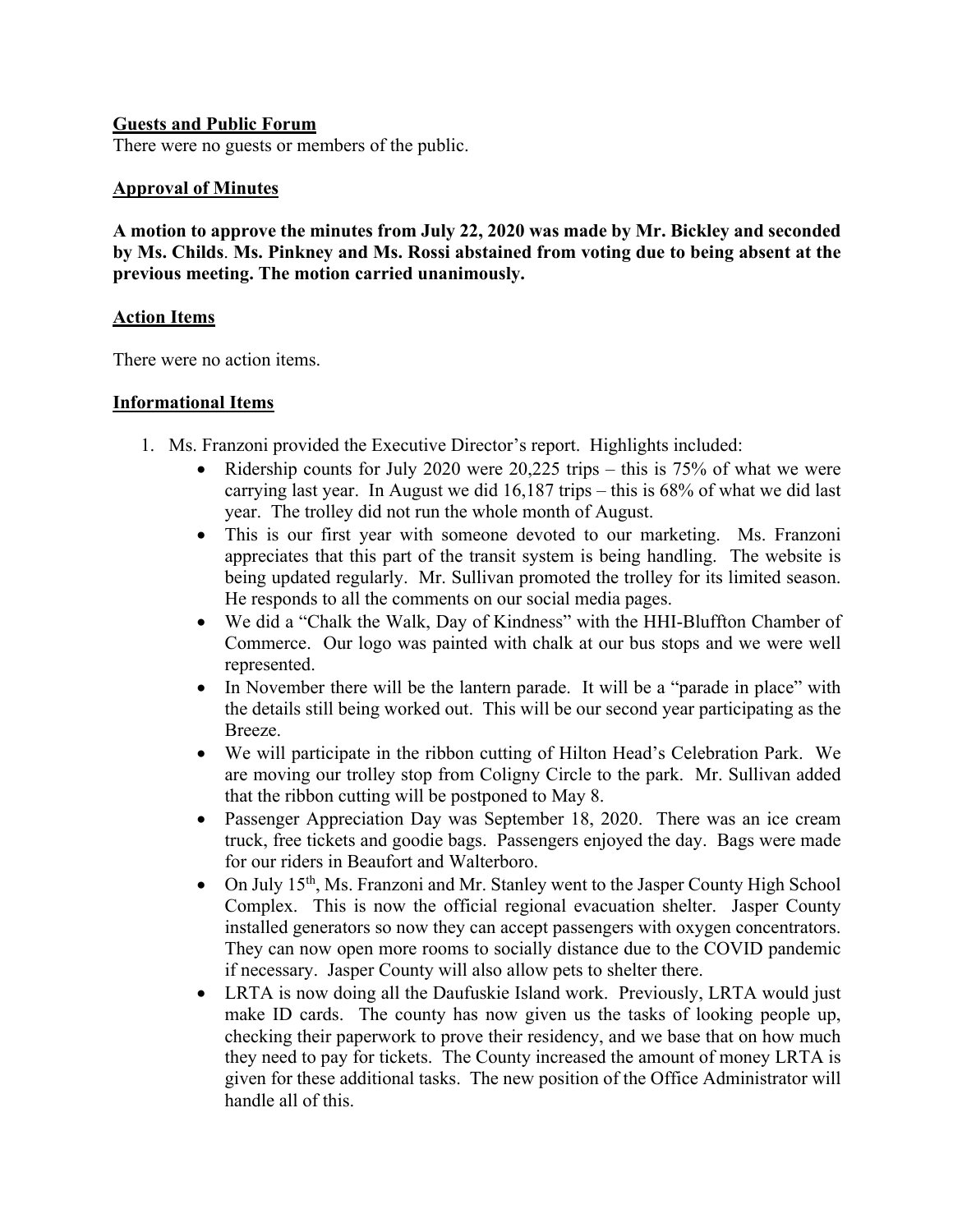## **Guests and Public Forum**

There were no guests or members of the public.

## **Approval of Minutes**

**A motion to approve the minutes from July 22, 2020 was made by Mr. Bickley and seconded by Ms. Childs**. **Ms. Pinkney and Ms. Rossi abstained from voting due to being absent at the previous meeting. The motion carried unanimously.**

### **Action Items**

There were no action items.

### **Informational Items**

- 1. Ms. Franzoni provided the Executive Director's report. Highlights included:
	- Ridership counts for July 2020 were  $20,225$  trips this is 75% of what we were carrying last year. In August we did 16,187 trips – this is 68% of what we did last year. The trolley did not run the whole month of August.
	- This is our first year with someone devoted to our marketing. Ms. Franzoni appreciates that this part of the transit system is being handling. The website is being updated regularly. Mr. Sullivan promoted the trolley for its limited season. He responds to all the comments on our social media pages.
	- We did a "Chalk the Walk, Day of Kindness" with the HHI-Bluffton Chamber of Commerce. Our logo was painted with chalk at our bus stops and we were well represented.
	- In November there will be the lantern parade. It will be a "parade in place" with the details still being worked out. This will be our second year participating as the Breeze.
	- We will participate in the ribbon cutting of Hilton Head's Celebration Park. We are moving our trolley stop from Coligny Circle to the park. Mr. Sullivan added that the ribbon cutting will be postponed to May 8.
	- Passenger Appreciation Day was September 18, 2020. There was an ice cream truck, free tickets and goodie bags. Passengers enjoyed the day. Bags were made for our riders in Beaufort and Walterboro.
	- On July 15<sup>th</sup>, Ms. Franzoni and Mr. Stanley went to the Jasper County High School Complex. This is now the official regional evacuation shelter. Jasper County installed generators so now they can accept passengers with oxygen concentrators. They can now open more rooms to socially distance due to the COVID pandemic if necessary. Jasper County will also allow pets to shelter there.
	- LRTA is now doing all the Daufuskie Island work. Previously, LRTA would just make ID cards. The county has now given us the tasks of looking people up, checking their paperwork to prove their residency, and we base that on how much they need to pay for tickets. The County increased the amount of money LRTA is given for these additional tasks. The new position of the Office Administrator will handle all of this.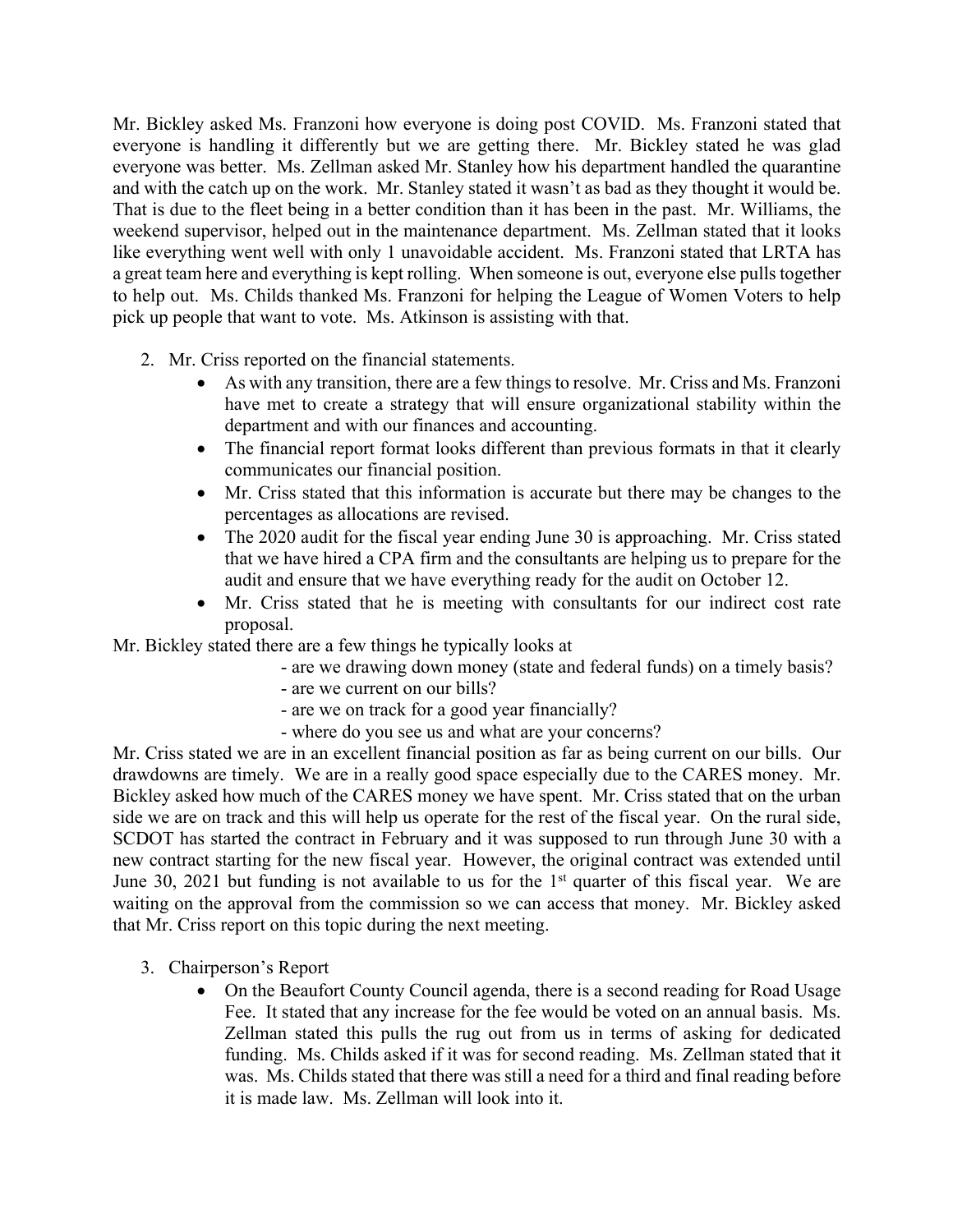Mr. Bickley asked Ms. Franzoni how everyone is doing post COVID. Ms. Franzoni stated that everyone is handling it differently but we are getting there. Mr. Bickley stated he was glad everyone was better. Ms. Zellman asked Mr. Stanley how his department handled the quarantine and with the catch up on the work. Mr. Stanley stated it wasn't as bad as they thought it would be. That is due to the fleet being in a better condition than it has been in the past. Mr. Williams, the weekend supervisor, helped out in the maintenance department. Ms. Zellman stated that it looks like everything went well with only 1 unavoidable accident. Ms. Franzoni stated that LRTA has a great team here and everything is kept rolling. When someone is out, everyone else pulls together to help out. Ms. Childs thanked Ms. Franzoni for helping the League of Women Voters to help pick up people that want to vote. Ms. Atkinson is assisting with that.

- 2. Mr. Criss reported on the financial statements.
	- As with any transition, there are a few things to resolve. Mr. Criss and Ms. Franzoni have met to create a strategy that will ensure organizational stability within the department and with our finances and accounting.
	- The financial report format looks different than previous formats in that it clearly communicates our financial position.
	- Mr. Criss stated that this information is accurate but there may be changes to the percentages as allocations are revised.
	- The 2020 audit for the fiscal year ending June 30 is approaching. Mr. Criss stated that we have hired a CPA firm and the consultants are helping us to prepare for the audit and ensure that we have everything ready for the audit on October 12.
	- Mr. Criss stated that he is meeting with consultants for our indirect cost rate proposal.

Mr. Bickley stated there are a few things he typically looks at

- are we drawing down money (state and federal funds) on a timely basis?
- are we current on our bills?
- are we on track for a good year financially?
- where do you see us and what are your concerns?

Mr. Criss stated we are in an excellent financial position as far as being current on our bills. Our drawdowns are timely. We are in a really good space especially due to the CARES money. Mr. Bickley asked how much of the CARES money we have spent. Mr. Criss stated that on the urban side we are on track and this will help us operate for the rest of the fiscal year. On the rural side, SCDOT has started the contract in February and it was supposed to run through June 30 with a new contract starting for the new fiscal year. However, the original contract was extended until June 30, 2021 but funding is not available to us for the  $1<sup>st</sup>$  quarter of this fiscal year. We are waiting on the approval from the commission so we can access that money. Mr. Bickley asked that Mr. Criss report on this topic during the next meeting.

- 3. Chairperson's Report
	- On the Beaufort County Council agenda, there is a second reading for Road Usage Fee. It stated that any increase for the fee would be voted on an annual basis. Ms. Zellman stated this pulls the rug out from us in terms of asking for dedicated funding. Ms. Childs asked if it was for second reading. Ms. Zellman stated that it was. Ms. Childs stated that there was still a need for a third and final reading before it is made law. Ms. Zellman will look into it.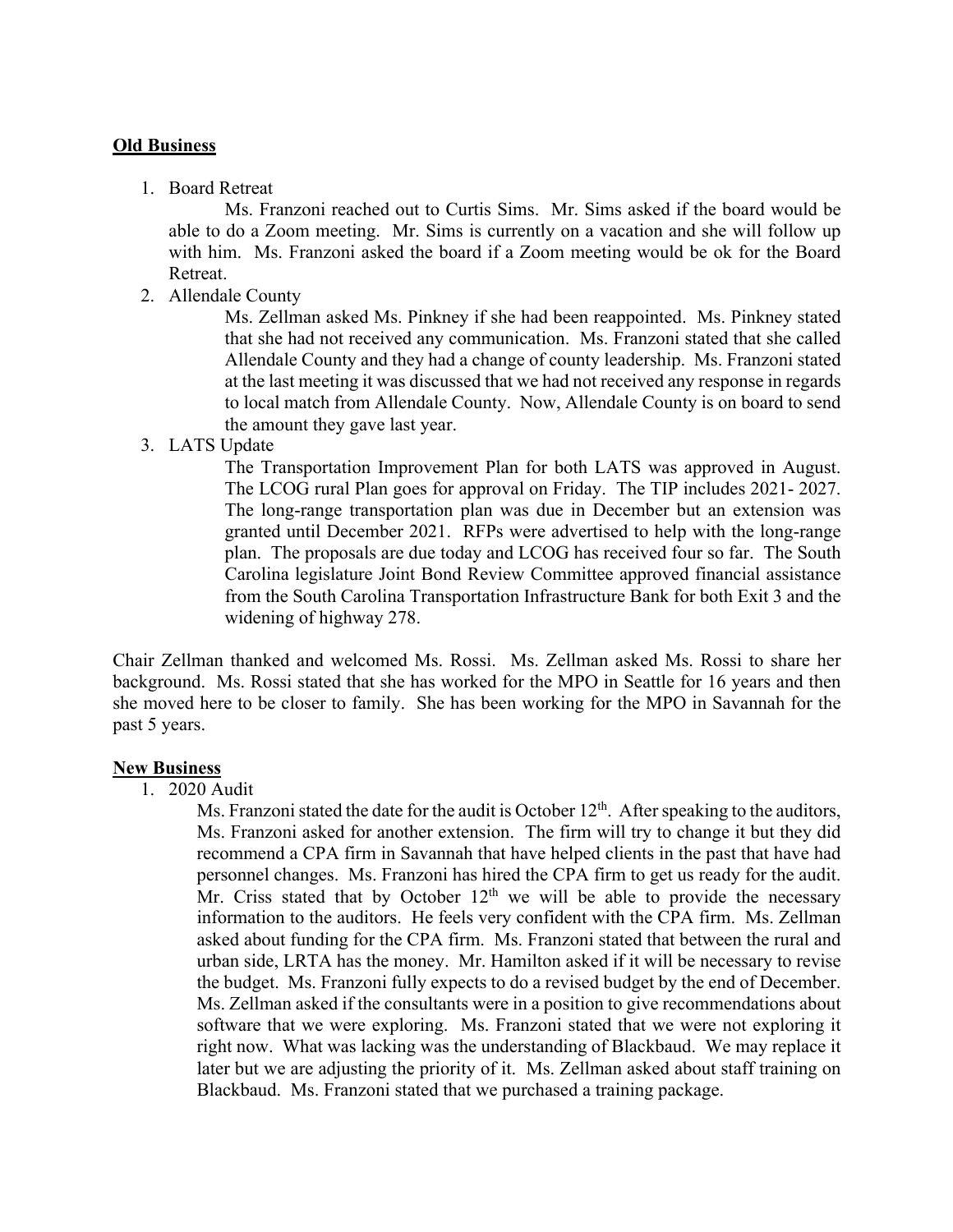#### **Old Business**

1. Board Retreat

Ms. Franzoni reached out to Curtis Sims. Mr. Sims asked if the board would be able to do a Zoom meeting. Mr. Sims is currently on a vacation and she will follow up with him. Ms. Franzoni asked the board if a Zoom meeting would be ok for the Board Retreat.

2. Allendale County

Ms. Zellman asked Ms. Pinkney if she had been reappointed. Ms. Pinkney stated that she had not received any communication. Ms. Franzoni stated that she called Allendale County and they had a change of county leadership. Ms. Franzoni stated at the last meeting it was discussed that we had not received any response in regards to local match from Allendale County. Now, Allendale County is on board to send the amount they gave last year.

3. LATS Update

The Transportation Improvement Plan for both LATS was approved in August. The LCOG rural Plan goes for approval on Friday. The TIP includes 2021- 2027. The long-range transportation plan was due in December but an extension was granted until December 2021. RFPs were advertised to help with the long-range plan. The proposals are due today and LCOG has received four so far. The South Carolina legislature Joint Bond Review Committee approved financial assistance from the South Carolina Transportation Infrastructure Bank for both Exit 3 and the widening of highway 278.

Chair Zellman thanked and welcomed Ms. Rossi. Ms. Zellman asked Ms. Rossi to share her background. Ms. Rossi stated that she has worked for the MPO in Seattle for 16 years and then she moved here to be closer to family. She has been working for the MPO in Savannah for the past 5 years.

#### **New Business**

1. 2020 Audit

Ms. Franzoni stated the date for the audit is October  $12<sup>th</sup>$ . After speaking to the auditors, Ms. Franzoni asked for another extension. The firm will try to change it but they did recommend a CPA firm in Savannah that have helped clients in the past that have had personnel changes. Ms. Franzoni has hired the CPA firm to get us ready for the audit. Mr. Criss stated that by October  $12<sup>th</sup>$  we will be able to provide the necessary information to the auditors. He feels very confident with the CPA firm. Ms. Zellman asked about funding for the CPA firm. Ms. Franzoni stated that between the rural and urban side, LRTA has the money. Mr. Hamilton asked if it will be necessary to revise the budget. Ms. Franzoni fully expects to do a revised budget by the end of December. Ms. Zellman asked if the consultants were in a position to give recommendations about software that we were exploring. Ms. Franzoni stated that we were not exploring it right now. What was lacking was the understanding of Blackbaud. We may replace it later but we are adjusting the priority of it. Ms. Zellman asked about staff training on Blackbaud. Ms. Franzoni stated that we purchased a training package.